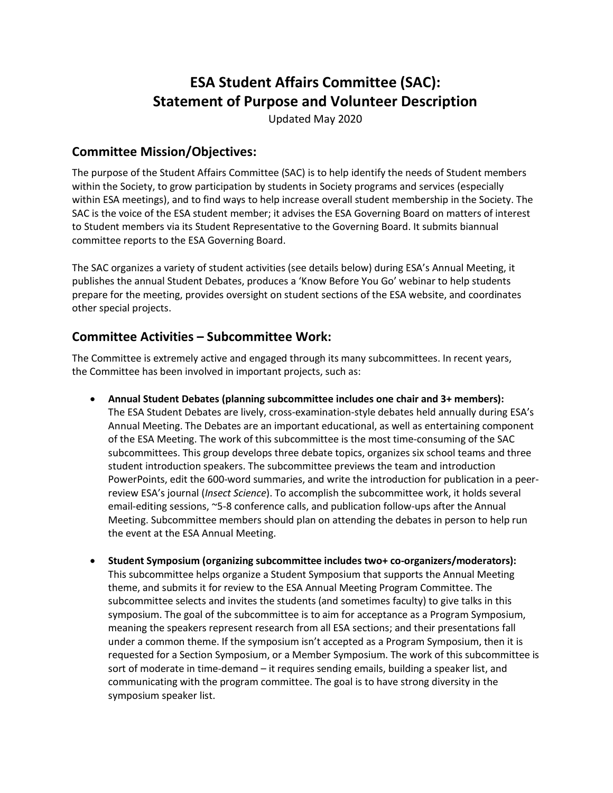# **ESA Student Affairs Committee (SAC): Statement of Purpose and Volunteer Description**

Updated May 2020

#### **Committee Mission/Objectives:**

The purpose of the Student Affairs Committee (SAC) is to help identify the needs of Student members within the Society, to grow participation by students in Society programs and services (especially within ESA meetings), and to find ways to help increase overall student membership in the Society. The SAC is the voice of the ESA student member; it advises the ESA Governing Board on matters of interest to Student members via its Student Representative to the Governing Board. It submits biannual committee reports to the ESA Governing Board.

The SAC organizes a variety of student activities (see details below) during ESA's Annual Meeting, it publishes the annual Student Debates, produces a 'Know Before You Go' webinar to help students prepare for the meeting, provides oversight on student sections of the ESA website, and coordinates other special projects.

# **Committee Activities – Subcommittee Work:**

The Committee is extremely active and engaged through its many subcommittees. In recent years, the Committee has been involved in important projects, such as:

- **Annual Student Debates (planning subcommittee includes one chair and 3+ members):** The ESA Student Debates are lively, cross‐examination‐style debates held annually during ESA's Annual Meeting. The Debates are an important educational, as well as entertaining component of the ESA Meeting. The work of this subcommittee is the most time-consuming of the SAC subcommittees. This group develops three debate topics, organizes six school teams and three student introduction speakers. The subcommittee previews the team and introduction PowerPoints, edit the 600-word summaries, and write the introduction for publication in a peerreview ESA's journal (*Insect Science*). To accomplish the subcommittee work, it holds several email-editing sessions, ~5-8 conference calls, and publication follow-ups after the Annual Meeting. Subcommittee members should plan on attending the debates in person to help run the event at the ESA Annual Meeting.
- **Student Symposium (organizing subcommittee includes two+ co-organizers/moderators):** This subcommittee helps organize a Student Symposium that supports the Annual Meeting theme, and submits it for review to the ESA Annual Meeting Program Committee. The subcommittee selects and invites the students (and sometimes faculty) to give talks in this symposium. The goal of the subcommittee is to aim for acceptance as a Program Symposium, meaning the speakers represent research from all ESA sections; and their presentations fall under a common theme. If the symposium isn't accepted as a Program Symposium, then it is requested for a Section Symposium, or a Member Symposium. The work of this subcommittee is sort of moderate in time-demand – it requires sending emails, building a speaker list, and communicating with the program committee. The goal is to have strong diversity in the symposium speaker list.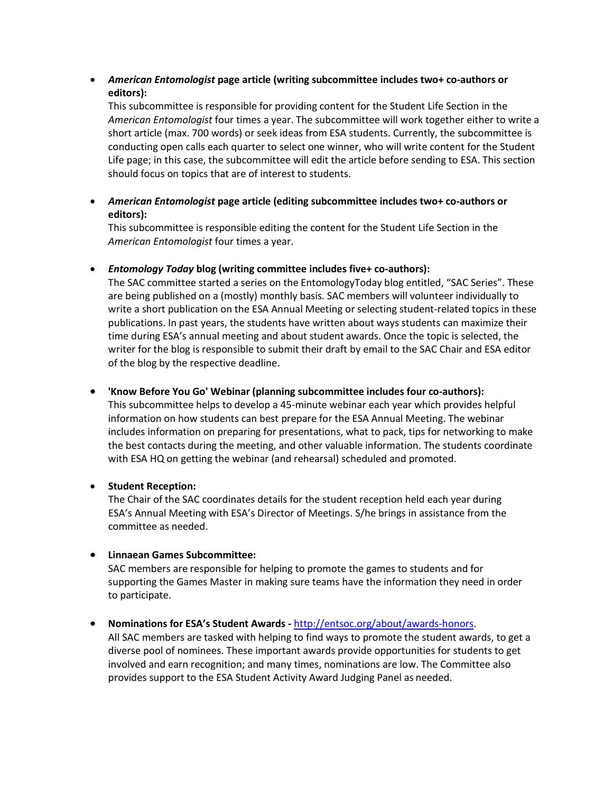• *American Entomologist* **page article (writing subcommittee includes two+ co-authors or editors):**

This subcommittee is responsible for providing content for the Student Life Section in the *American Entomologist* four times a year. The subcommittee will work together either to write a short article (max. 700 words) or seek ideas from ESA students. Currently, the subcommittee is conducting open calls each quarter to select one winner, who will write content for the Student Life page; in this case, the subcommittee will edit the article before sending to ESA. This section should focus on topics that are of interest to students.

• *American Entomologist* **page article (editing subcommittee includes two+ co-authors or editors):**

This subcommittee is responsible editing the content for the Student Life Section in the *American Entomologist* four times a year.

• *Entomology Today* **blog (writing committee includes five+ co-authors):**

The SAC committee started a series on the EntomologyToday blog entitled, "SAC Series". These are being published on a (mostly) monthly basis. SAC members will volunteer individually to write a short publication on the ESA Annual Meeting or selecting student-related topics in these publications. In past years, the students have written about ways students can maximize their time during ESA's annual meeting and about student awards. Once the topic is selected, the writer for the blog is responsible to submit their draft by email to the SAC Chair and ESA editor of the blog by the respective deadline.

#### • **'Know Before You Go' Webinar (planning subcommittee includes four co-authors):**

This subcommittee helps to develop a 45-minute webinar each year which provides helpful information on how students can best prepare for the ESA Annual Meeting. The webinar includes information on preparing for presentations, what to pack, tips for networking to make the best contacts during the meeting, and other valuable information. The students coordinate with ESA HQ on getting the webinar (and rehearsal) scheduled and promoted.

#### • **Student Reception:**

 The Chair of the SAC coordinates details for the student reception held each year during ESA's Annual Meeting with ESA's Director of Meetings. S/he brings in assistance from the committee as needed.

#### • **Linnaean Games Subcommittee:**

 SAC members are responsible for helping to promote the games to students and for supporting the Games Master in making sure teams have the information they need in order to participate.

• **Nominations for ESA's Student Awards -** [http://entsoc.org/about/awards‐honors.](http://entsoc.org/about/awards%E2%80%90honors)

All SAC members are tasked with helping to find ways to promote the student awards, to get a diverse pool of nominees. These important awards provide opportunities for students to get involved and earn recognition; and many times, nominations are low. The Committee also provides support to the ESA Student Activity Award Judging Panel as needed.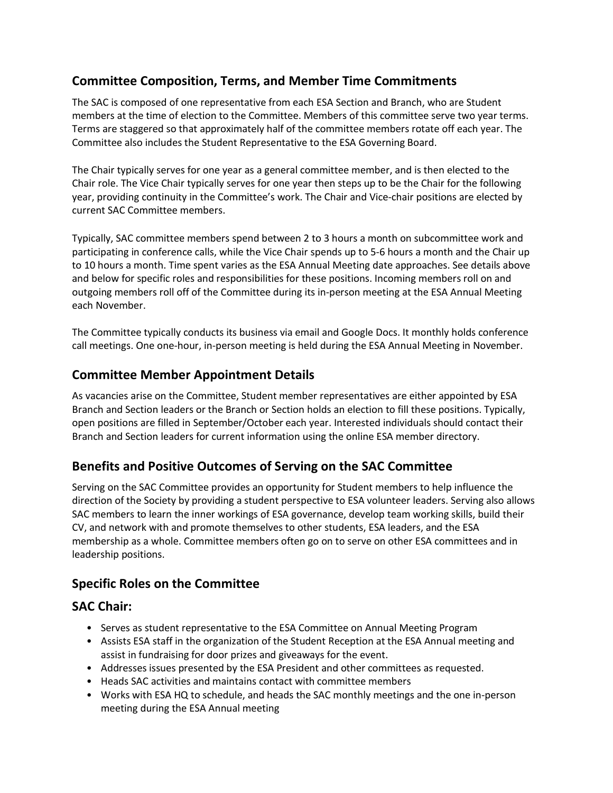# **Committee Composition, Terms, and Member Time Commitments**

The SAC is composed of one representative from each ESA Section and Branch, who are Student members at the time of election to the Committee. Members of this committee serve two year terms. Terms are staggered so that approximately half of the committee members rotate off each year. The Committee also includes the Student Representative to the ESA Governing Board.

The Chair typically serves for one year as a general committee member, and is then elected to the Chair role. The Vice Chair typically serves for one year then steps up to be the Chair for the following year, providing continuity in the Committee's work. The Chair and Vice-chair positions are elected by current SAC Committee members.

Typically, SAC committee members spend between 2 to 3 hours a month on subcommittee work and participating in conference calls, while the Vice Chair spends up to 5‐6 hours a month and the Chair up to 10 hours a month. Time spent varies as the ESA Annual Meeting date approaches. See details above and below for specific roles and responsibilities for these positions. Incoming members roll on and outgoing members roll off of the Committee during its in‐person meeting at the ESA Annual Meeting each November.

The Committee typically conducts its business via email and Google Docs. It monthly holds conference call meetings. One one-hour, in-person meeting is held during the ESA Annual Meeting in November.

# **Committee Member Appointment Details**

As vacancies arise on the Committee, Student member representatives are either appointed by ESA Branch and Section leaders or the Branch or Section holds an election to fill these positions. Typically, open positions are filled in September/October each year. Interested individuals should contact their Branch and Section leaders for current information using the online ESA member directory.

# **Benefits and Positive Outcomes of Serving on the SAC Committee**

Serving on the SAC Committee provides an opportunity for Student members to help influence the direction of the Society by providing a student perspective to ESA volunteer leaders. Serving also allows SAC members to learn the inner workings of ESA governance, develop team working skills, build their CV, and network with and promote themselves to other students, ESA leaders, and the ESA membership as a whole. Committee members often go on to serve on other ESA committees and in leadership positions.

# **Specific Roles on the Committee**

# **SAC Chair:**

- Serves as student representative to the ESA Committee on Annual Meeting Program
- Assists ESA staff in the organization of the Student Reception at the ESA Annual meeting and assist in fundraising for door prizes and giveaways for the event.
- Addresses issues presented by the ESA President and other committees as requested.
- Heads SAC activities and maintains contact with committee members
- Works with ESA HQ to schedule, and heads the SAC monthly meetings and the one in-person meeting during the ESA Annual meeting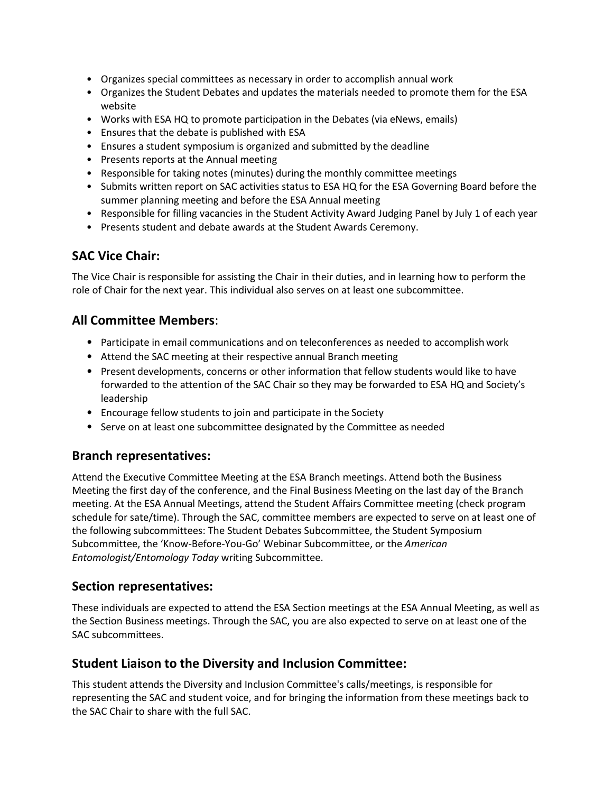- Organizes special committees as necessary in order to accomplish annual work
- Organizes the Student Debates and updates the materials needed to promote them for the ESA website
- Works with ESA HQ to promote participation in the Debates (via eNews, emails)
- Ensures that the debate is published with ESA
- Ensures a student symposium is organized and submitted by the deadline
- Presents reports at the Annual meeting
- Responsible for taking notes (minutes) during the monthly committee meetings
- Submits written report on SAC activities status to ESA HQ for the ESA Governing Board before the summer planning meeting and before the ESA Annual meeting
- Responsible for filling vacancies in the Student Activity Award Judging Panel by July 1 of each year
- Presents student and debate awards at the Student Awards Ceremony.

#### **SAC Vice Chair:**

The Vice Chair is responsible for assisting the Chair in their duties, and in learning how to perform the role of Chair for the next year. This individual also serves on at least one subcommittee.

# **All Committee Members**:

- Participate in email communications and on teleconferences as needed to accomplishwork
- Attend the SAC meeting at their respective annual Branch meeting
- Present developments, concerns or other information that fellow students would like to have forwarded to the attention of the SAC Chair so they may be forwarded to ESA HQ and Society's leadership
- Encourage fellow students to join and participate in the Society
- Serve on at least one subcommittee designated by the Committee as needed

#### **Branch representatives:**

Attend the Executive Committee Meeting at the ESA Branch meetings. Attend both the Business Meeting the first day of the conference, and the Final Business Meeting on the last day of the Branch meeting. At the ESA Annual Meetings, attend the Student Affairs Committee meeting (check program schedule for sate/time). Through the SAC, committee members are expected to serve on at least one of the following subcommittees: The Student Debates Subcommittee, the Student Symposium Subcommittee, the 'Know-Before-You-Go' Webinar Subcommittee, or the *American Entomologist/Entomology Today* writing Subcommittee.

#### **Section representatives:**

These individuals are expected to attend the ESA Section meetings at the ESA Annual Meeting, as well as the Section Business meetings. Through the SAC, you are also expected to serve on at least one of the SAC subcommittees.

#### **Student Liaison to the Diversity and Inclusion Committee:**

This student attends the Diversity and Inclusion Committee's calls/meetings, is responsible for representing the SAC and student voice, and for bringing the information from these meetings back to the SAC Chair to share with the full SAC.